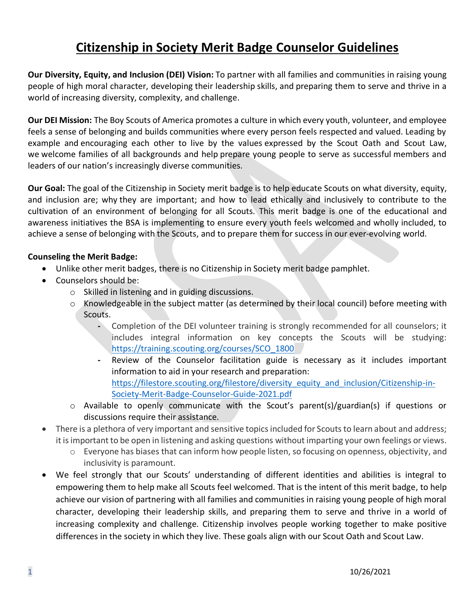# **Citizenship in Society Merit Badge Counselor Guidelines**

**Our Diversity, Equity, and Inclusion (DEI) Vision:** To partner with all families and communities in raising young people of high moral character, developing their leadership skills, and preparing them to serve and thrive in a world of increasing diversity, complexity, and challenge.

**Our DEI Mission:** The Boy Scouts of America promotes a culture in which every youth, volunteer, and employee feels a sense of belonging and builds communities where every person feels respected and valued. Leading by example and encouraging each other to live by the values expressed by the Scout Oath and Scout Law, we welcome families of all backgrounds and help prepare young people to serve as successful members and leaders of our nation's increasingly diverse communities.

**Our Goal:** The goal of the Citizenship in Society merit badge is to help educate Scouts on what diversity, equity, and inclusion are; why they are important; and how to lead ethically and inclusively to contribute to the cultivation of an environment of belonging for all Scouts. This merit badge is one of the educational and awareness initiatives the BSA is implementing to ensure every youth feels welcomed and wholly included, to achieve a sense of belonging with the Scouts, and to prepare them for success in our ever-evolving world.

## **Counseling the Merit Badge:**

- Unlike other merit badges, there is no Citizenship in Society merit badge pamphlet.
- Counselors should be:
	- o Skilled in listening and in guiding discussions.
	- o Knowledgeable in the subject matter (as determined by their local council) before meeting with Scouts.
		- **-** Completion of the DEI volunteer training is strongly recommended for all counselors; it includes integral information on key concepts the Scouts will be studying: [https://training.scouting.org/courses/SCO\\_1800](https://training.scouting.org/courses/SCO_1800)
		- **-** Review of the Counselor facilitation guide is necessary as it includes important information to aid in your research and preparation: [https://filestore.scouting.org/filestore/diversity\\_equity\\_and\\_inclusion/Citizenship-in-](https://filestore.scouting.org/filestore/diversity_equity_and_inclusion/Citizenship-in-Society-Merit-Badge-Counselor-Guide-2021.pdf)[Society-Merit-Badge-Counselor-Guide-2021.pdf](https://filestore.scouting.org/filestore/diversity_equity_and_inclusion/Citizenship-in-Society-Merit-Badge-Counselor-Guide-2021.pdf)
	- o Available to openly communicate with the Scout's parent(s)/guardian(s) if questions or discussions require their assistance.
- There is a plethora of very important and sensitive topics included for Scouts to learn about and address; it is important to be open in listening and asking questions without imparting your own feelings or views.
	- o Everyone has biases that can inform how people listen, so focusing on openness, objectivity, and inclusivity is paramount.
- We feel strongly that our Scouts' understanding of different identities and abilities is integral to empowering them to help make all Scouts feel welcomed. That is the intent of this merit badge, to help achieve our vision of partnering with all families and communities in raising young people of high moral character, developing their leadership skills, and preparing them to serve and thrive in a world of increasing complexity and challenge. Citizenship involves people working together to make positive differences in the society in which they live. These goals align with our Scout Oath and Scout Law.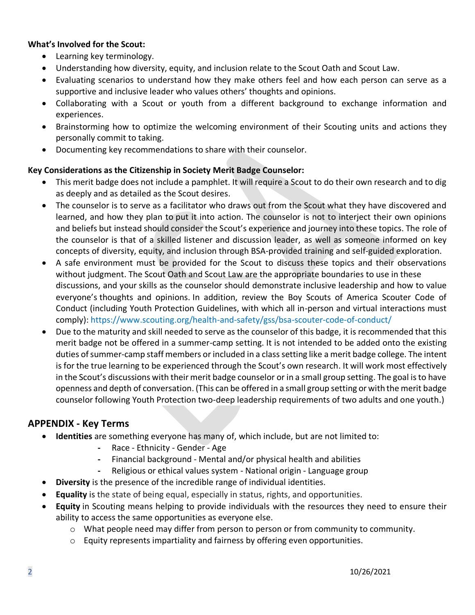#### **What's Involved for the Scout:**

- Learning key terminology.
- Understanding how diversity, equity, and inclusion relate to the Scout Oath and Scout Law.
- Evaluating scenarios to understand how they make others feel and how each person can serve as a supportive and inclusive leader who values others' thoughts and opinions.
- Collaborating with a Scout or youth from a different background to exchange information and experiences.
- Brainstorming how to optimize the welcoming environment of their Scouting units and actions they personally commit to taking.
- Documenting key recommendations to share with their counselor.

## **Key Considerations as the Citizenship in Society Merit Badge Counselor:**

- This merit badge does not include a pamphlet. It will require a Scout to do their own research and to dig as deeply and as detailed as the Scout desires.
- The counselor is to serve as a facilitator who draws out from the Scout what they have discovered and learned, and how they plan to put it into action. The counselor is not to interject their own opinions and beliefs but instead should consider the Scout's experience and journey into these topics. The role of the counselor is that of a skilled listener and discussion leader, as well as someone informed on key concepts of diversity, equity, and inclusion through BSA-provided training and self-guided exploration.
- A safe environment must be provided for the Scout to discuss these topics and their observations without judgment. The Scout Oath and Scout Law are the appropriate boundaries to use in these discussions, and your skills as the counselor should demonstrate inclusive leadership and how to value everyone's thoughts and opinions. In addition, review the Boy Scouts of America Scouter Code of Conduct (including Youth Protection Guidelines, with which all in-person and virtual interactions must comply): https://www.scouting.org/health-and-safety/gss/bsa-scouter-code-of-conduct/
- Due to the maturity and skill needed to serve as the counselor of this badge, it is recommended that this merit badge not be offered in a summer-camp setting. It is not intended to be added onto the existing duties of summer-camp staff members or included in a class setting like a merit badge college. The intent is for the true learning to be experienced through the Scout's own research. It will work most effectively in the Scout's discussions with their merit badge counselor or in a small group setting. The goal is to have openness and depth of conversation. (This can be offered in a small group setting or with the merit badge counselor following Youth Protection two-deep leadership requirements of two adults and one youth.)

# **APPENDIX - Key Terms**

- **Identities** are something everyone has many of, which include, but are not limited to:
	- **-** Race Ethnicity Gender Age
	- **-** Financial background Mental and/or physical health and abilities
	- **-** Religious or ethical values system National origin Language group
- **Diversity** is the presence of the incredible range of individual identities.
- **Equality** is the state of being equal, especially in status, rights, and opportunities.
- **Equity** in Scouting means helping to provide individuals with the resources they need to ensure their ability to access the same opportunities as everyone else.
	- o What people need may differ from person to person or from community to community.
	- $\circ$  Equity represents impartiality and fairness by offering even opportunities.